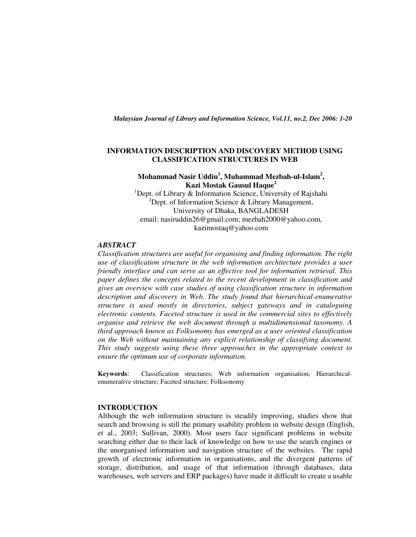*Malaysian Journal of Library and Information Science, Vol.11, no.2, Dec 2006: 1-20* 

## **INFORMATION DESCRIPTION AND DISCOVERY METHOD USING CLASSIFICATION STRUCTURES IN WEB**

# **Mohammad Nasir Uddin<sup>1</sup> , Muhammad Mezbah-ul-Islam<sup>2</sup> , Kazi Mostak Gausul Haque<sup>2</sup>**

<sup>1</sup>Dept. of Library & Information Science, University of Rajshahi <sup>2</sup>Dept. of Information Science & Library Management, University of Dhaka, BANGLADESH email: nasiruddin26@gmail.com; mezbah2000@yahoo.com, kazimostaq@yahoo.com

## *ABSTRACT*

*Classification structures are useful for organising and finding information. The right use of classification structure in the web information architecture provides a user friendly interface and can serve as an effective tool for information retrieval. This paper defines the concepts related to the recent development in classification and gives an overview with case studies of using classification structure in information description and discovery in Web. The study found that hierarchical-enumerative structure is used mostly in directories, subject gateways and in cataloguing electronic contents. Faceted structure is used in the commercial sites to effectively organise and retrieve the web document through a multidimensional taxonomy. A third approach known as Folksonomy has emerged as a user oriented classification on the Web without maintaining any explicit relationship of classifying document. This study suggests using these three approaches in the appropriate context to ensure the optimum use of corporate information.* 

**Keywords**: Classification structures; Web information organisation; Hierarchicalenumerative structure; Faceted structure; Folksonomy

## **INTRODUCTION**

Although the web information structure is steadily improving, studies show that search and browsing is still the primary usability problem in website design (English, et al., 2003; Sullivan, 2000). Most users face significant problems in website searching either due to their lack of knowledge on how to use the search engines or the unorganised information and navigation structure of the websites. The rapid growth of electronic information in organisations, and the divergent patterns of storage, distribution, and usage of that information (through databases, data warehouses, web servers and ERP packages) have made it difficult to create a usable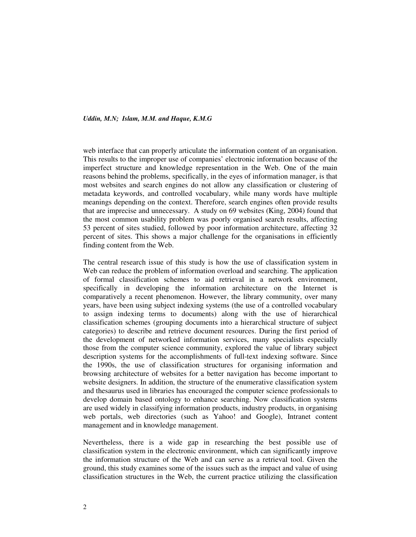web interface that can properly articulate the information content of an organisation. This results to the improper use of companies' electronic information because of the imperfect structure and knowledge representation in the Web. One of the main reasons behind the problems, specifically, in the eyes of information manager, is that most websites and search engines do not allow any classification or clustering of metadata keywords, and controlled vocabulary, while many words have multiple meanings depending on the context. Therefore, search engines often provide results that are imprecise and unnecessary. A study on 69 websites (King, 2004) found that the most common usability problem was poorly organised search results, affecting 53 percent of sites studied, followed by poor information architecture, affecting 32 percent of sites. This shows a major challenge for the organisations in efficiently finding content from the Web.

The central research issue of this study is how the use of classification system in Web can reduce the problem of information overload and searching. The application of formal classification schemes to aid retrieval in a network environment, specifically in developing the information architecture on the Internet is comparatively a recent phenomenon. However, the library community, over many years, have been using subject indexing systems (the use of a controlled vocabulary to assign indexing terms to documents) along with the use of hierarchical classification schemes (grouping documents into a hierarchical structure of subject categories) to describe and retrieve document resources. During the first period of the development of networked information services, many specialists especially those from the computer science community, explored the value of library subject description systems for the accomplishments of full-text indexing software. Since the 1990s, the use of classification structures for organising information and browsing architecture of websites for a better navigation has become important to website designers. In addition, the structure of the enumerative classification system and thesaurus used in libraries has encouraged the computer science professionals to develop domain based ontology to enhance searching. Now classification systems are used widely in classifying information products, industry products, in organising web portals, web directories (such as Yahoo! and Google), Intranet content management and in knowledge management.

Nevertheless, there is a wide gap in researching the best possible use of classification system in the electronic environment, which can significantly improve the information structure of the Web and can serve as a retrieval tool. Given the ground, this study examines some of the issues such as the impact and value of using classification structures in the Web, the current practice utilizing the classification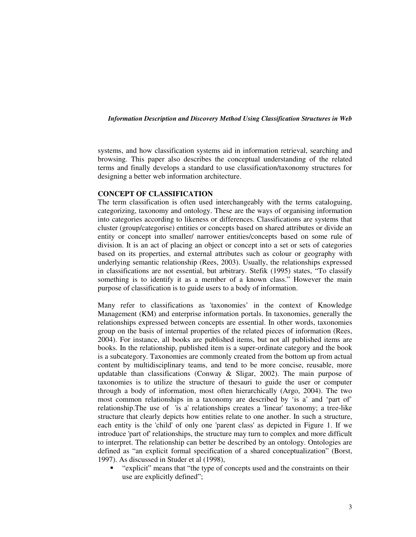systems, and how classification systems aid in information retrieval, searching and browsing. This paper also describes the conceptual understanding of the related terms and finally develops a standard to use classification/taxonomy structures for designing a better web information architecture.

#### **CONCEPT OF CLASSIFICATION**

The term classification is often used interchangeably with the terms cataloguing, categorizing, taxonomy and ontology. These are the ways of organising information into categories according to likeness or differences. Classifications are systems that cluster (group/categorise) entities or concepts based on shared attributes or divide an entity or concept into smaller/ narrower entities/concepts based on some rule of division. It is an act of placing an object or concept into a set or sets of categories based on its properties, and external attributes such as colour or geography with underlying semantic relationship (Rees, 2003). Usually, the relationships expressed in classifications are not essential, but arbitrary. Stefik (1995) states, "To classify something is to identify it as a member of a known class." However the main purpose of classification is to guide users to a body of information.

Many refer to classifications as 'taxonomies' in the context of Knowledge Management (KM) and enterprise information portals. In taxonomies, generally the relationships expressed between concepts are essential. In other words, taxonomies group on the basis of internal properties of the related pieces of information (Rees, 2004). For instance, all books are published items, but not all published items are books. In the relationship, published item is a super-ordinate category and the book is a subcategory. Taxonomies are commonly created from the bottom up from actual content by multidisciplinary teams, and tend to be more concise, reusable, more updatable than classifications (Conway & Sligar, 2002). The main purpose of taxonomies is to utilize the structure of thesauri to guide the user or computer through a body of information, most often hierarchically (Argo, 2004). The two most common relationships in a taxonomy are described by 'is a' and 'part of' relationship.The use of 'is a' relationships creates a 'linear' taxonomy; a tree-like structure that clearly depicts how entities relate to one another. In such a structure, each entity is the 'child' of only one 'parent class' as depicted in Figure 1. If we introduce 'part of' relationships, the structure may turn to complex and more difficult to interpret. The relationship can better be described by an ontology. Ontologies are defined as "an explicit formal specification of a shared conceptualization" (Borst, 1997). As discussed in Studer et al (1998),

• "explicit" means that "the type of concepts used and the constraints on their use are explicitly defined";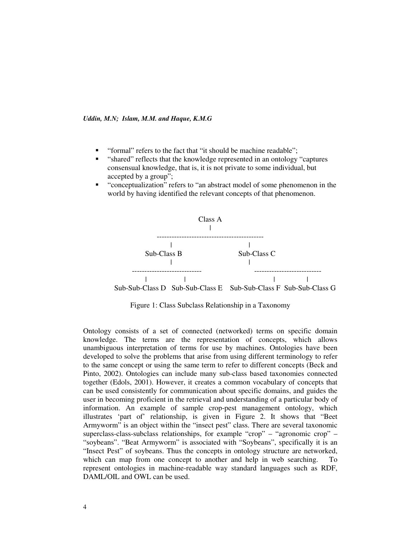- " "formal" refers to the fact that "it should be machine readable":
- "shared" reflects that the knowledge represented in an ontology "captures consensual knowledge, that is, it is not private to some individual, but accepted by a group";
- " "conceptualization" refers to "an abstract model of some phenomenon in the world by having identified the relevant concepts of that phenomenon.



Figure 1: Class Subclass Relationship in a Taxonomy

Ontology consists of a set of connected (networked) terms on specific domain knowledge. The terms are the representation of concepts, which allows unambiguous interpretation of terms for use by machines. Ontologies have been developed to solve the problems that arise from using different terminology to refer to the same concept or using the same term to refer to different concepts (Beck and Pinto, 2002). Ontologies can include many sub-class based taxonomies connected together (Edols, 2001). However, it creates a common vocabulary of concepts that can be used consistently for communication about specific domains, and guides the user in becoming proficient in the retrieval and understanding of a particular body of information. An example of sample crop-pest management ontology, which illustrates 'part of' relationship, is given in Figure 2. It shows that "Beet Armyworm" is an object within the "insect pest" class. There are several taxonomic superclass-class-subclass relationships, for example "crop" – "agronomic crop" – "soybeans". "Beat Armyworm" is associated with "Soybeans", specifically it is an "Insect Pest" of soybeans. Thus the concepts in ontology structure are networked, which can map from one concept to another and help in web searching. To represent ontologies in machine-readable way standard languages such as RDF, DAML/OIL and OWL can be used.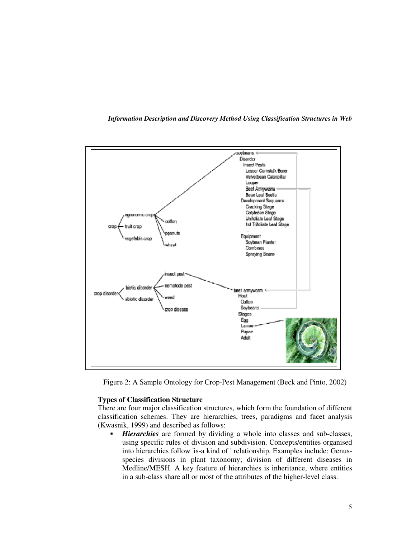

*Information Description and Discovery Method Using Classification Structures in Web*

Figure 2: A Sample Ontology for Crop-Pest Management (Beck and Pinto, 2002)

## **Types of Classification Structure**

There are four major classification structures, which form the foundation of different classification schemes. They are hierarchies, trees, paradigms and facet analysis (Kwasnik, 1999) and described as follows:

 *Hierarchies* are formed by dividing a whole into classes and sub-classes, using specific rules of division and subdivision. Concepts/entities organised into hierarchies follow 'is-a kind of ' relationship. Examples include: Genusspecies divisions in plant taxonomy; division of different diseases in Medline/MESH. A key feature of hierarchies is inheritance, where entities in a sub-class share all or most of the attributes of the higher-level class.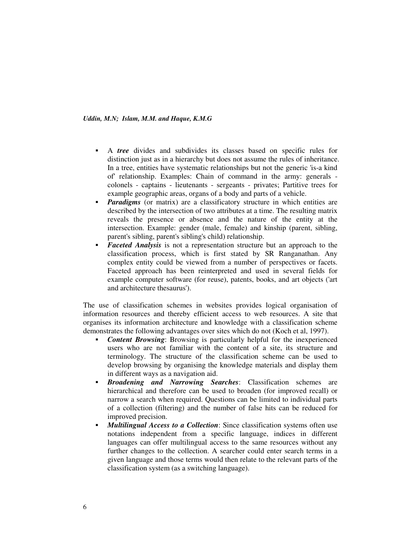- A *tree* divides and subdivides its classes based on specific rules for distinction just as in a hierarchy but does not assume the rules of inheritance. In a tree, entities have systematic relationships but not the generic 'is-a kind of' relationship. Examples: Chain of command in the army: generals colonels - captains - lieutenants - sergeants - privates; Partitive trees for example geographic areas, organs of a body and parts of a vehicle.
- *Paradigms* (or matrix) are a classificatory structure in which entities are described by the intersection of two attributes at a time. The resulting matrix reveals the presence or absence and the nature of the entity at the intersection. Example: gender (male, female) and kinship (parent, sibling, parent's sibling, parent's sibling's child) relationship.
- **Faceted Analysis** is not a representation structure but an approach to the classification process, which is first stated by SR Ranganathan. Any complex entity could be viewed from a number of perspectives or facets. Faceted approach has been reinterpreted and used in several fields for example computer software (for reuse), patents, books, and art objects ('art and architecture thesaurus').

The use of classification schemes in websites provides logical organisation of information resources and thereby efficient access to web resources. A site that organises its information architecture and knowledge with a classification scheme demonstrates the following advantages over sites which do not (Koch et al, 1997).

- *Content Browsing*: Browsing is particularly helpful for the inexperienced users who are not familiar with the content of a site, its structure and terminology. The structure of the classification scheme can be used to develop browsing by organising the knowledge materials and display them in different ways as a navigation aid.
- *Broadening and Narrowing Searches*: Classification schemes are hierarchical and therefore can be used to broaden (for improved recall) or narrow a search when required. Questions can be limited to individual parts of a collection (filtering) and the number of false hits can be reduced for improved precision.
- *Multilingual Access to a Collection*: Since classification systems often use notations independent from a specific language, indices in different languages can offer multilingual access to the same resources without any further changes to the collection. A searcher could enter search terms in a given language and those terms would then relate to the relevant parts of the classification system (as a switching language).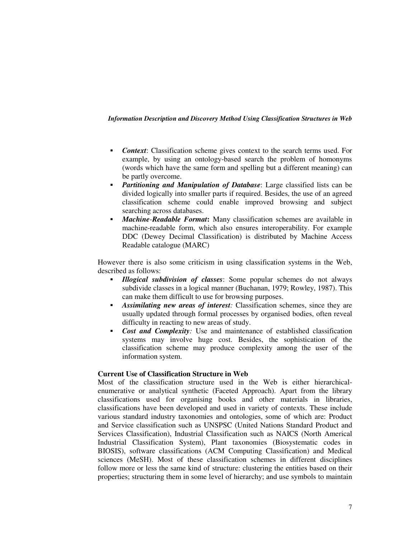- *Context*: Classification scheme gives context to the search terms used. For example, by using an ontology-based search the problem of homonyms (words which have the same form and spelling but a different meaning) can be partly overcome.
- *Partitioning and Manipulation of Database*: Large classified lists can be divided logically into smaller parts if required. Besides, the use of an agreed classification scheme could enable improved browsing and subject searching across databases.
- *Machine-Readable Format***:** Many classification schemes are available in machine-readable form, which also ensures interoperability. For example DDC (Dewey Decimal Classification) is distributed by Machine Access Readable catalogue (MARC)

However there is also some criticism in using classification systems in the Web, described as follows:

- *Illogical subdivision of classes*: Some popular schemes do not always subdivide classes in a logical manner (Buchanan, 1979; Rowley, 1987). This can make them difficult to use for browsing purposes.
- *Assimilating new areas of interest:* Classification schemes, since they are usually updated through formal processes by organised bodies, often reveal difficulty in reacting to new areas of study.
- *Cost and Complexity:* Use and maintenance of established classification systems may involve huge cost. Besides, the sophistication of the classification scheme may produce complexity among the user of the information system.

# **Current Use of Classification Structure in Web**

Most of the classification structure used in the Web is either hierarchicalenumerative or analytical synthetic (Faceted Approach). Apart from the library classifications used for organising books and other materials in libraries, classifications have been developed and used in variety of contexts. These include various standard industry taxonomies and ontologies, some of which are: Product and Service classification such as UNSPSC (United Nations Standard Product and Services Classification), Industrial Classification such as NAICS (North Americal Industrial Classification System), Plant taxonomies (Biosystematic codes in BIOSIS), software classifications (ACM Computing Classification) and Medical sciences (MeSH). Most of these classification schemes in different disciplines follow more or less the same kind of structure: clustering the entities based on their properties; structuring them in some level of hierarchy; and use symbols to maintain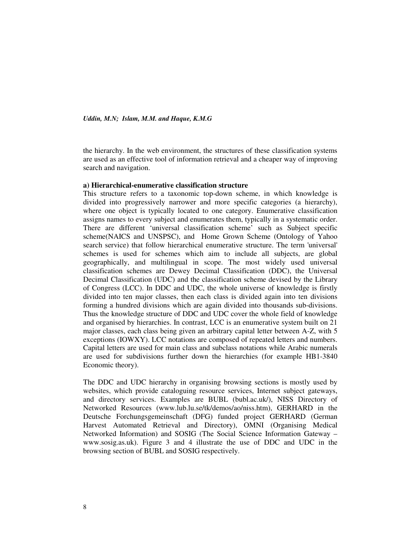the hierarchy. In the web environment, the structures of these classification systems are used as an effective tool of information retrieval and a cheaper way of improving search and navigation.

#### **a) Hierarchical-enumerative classification structure**

This structure refers to a taxonomic top-down scheme, in which knowledge is divided into progressively narrower and more specific categories (a hierarchy), where one object is typically located to one category. Enumerative classification assigns names to every subject and enumerates them, typically in a systematic order. There are different 'universal classification scheme' such as Subject specific scheme(NAICS and UNSPSC), and Home Grown Scheme (Ontology of Yahoo search service) that follow hierarchical enumerative structure. The term 'universal' schemes is used for schemes which aim to include all subjects, are global geographically, and multilingual in scope. The most widely used universal classification schemes are Dewey Decimal Classification (DDC), the Universal Decimal Classification (UDC) and the classification scheme devised by the Library of Congress (LCC). In DDC and UDC, the whole universe of knowledge is firstly divided into ten major classes, then each class is divided again into ten divisions forming a hundred divisions which are again divided into thousands sub-divisions. Thus the knowledge structure of DDC and UDC cover the whole field of knowledge and organised by hierarchies. In contrast, LCC is an enumerative system built on 21 major classes, each class being given an arbitrary capital letter between A-Z, with 5 exceptions (IOWXY). LCC notations are composed of repeated letters and numbers. Capital letters are used for main class and subclass notations while Arabic numerals are used for subdivisions further down the hierarchies (for example HB1-3840 Economic theory).

The DDC and UDC hierarchy in organising browsing sections is mostly used by websites, which provide cataloguing resource services, Internet subject gateways, and directory services. Examples are BUBL (bubl.ac.uk/), NISS Directory of Networked Resources (www.lub.lu.se/tk/demos/ao/niss.htm), GERHARD in the Deutsche Forchungsgemeinschaft (DFG) funded project GERHARD (German Harvest Automated Retrieval and Directory), OMNI (Organising Medical Networked Information) and SOSIG (The Social Science Information Gateway – www.sosig.as.uk). Figure 3 and 4 illustrate the use of DDC and UDC in the browsing section of BUBL and SOSIG respectively.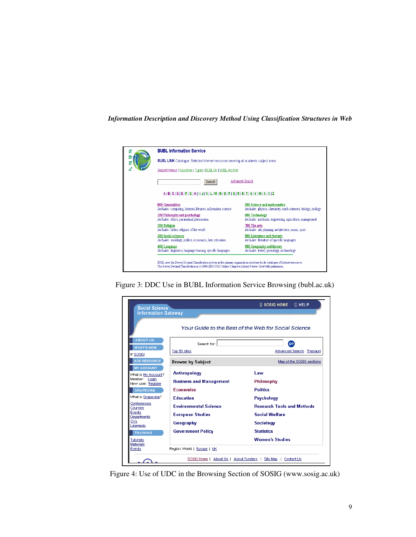

Figure 3: DDC Use in BUBL Information Service Browsing (bubl.ac.uk)

| <b>Social Science</b><br><b>Information Gateway</b>                                                                                                                                              |                                                                                                                                                                                                   | <b>IT HELP</b><br>$\Box$ sosig home                                                                                                                       |
|--------------------------------------------------------------------------------------------------------------------------------------------------------------------------------------------------|---------------------------------------------------------------------------------------------------------------------------------------------------------------------------------------------------|-----------------------------------------------------------------------------------------------------------------------------------------------------------|
|                                                                                                                                                                                                  |                                                                                                                                                                                                   | Your Guide to the Best of the Web for Social Science                                                                                                      |
| <b>ABOUT US</b><br><b>WHAT'S NEW</b><br>in SOSIG                                                                                                                                                 | Search for:<br>Top 50 sites                                                                                                                                                                       | go)<br>Advanced Search Thesauri                                                                                                                           |
| <b>ADD RESOURCE</b>                                                                                                                                                                              | <b>Browse by Subject</b>                                                                                                                                                                          | Map of the SOSIG sections                                                                                                                                 |
| <b>MY ACCOUNT</b><br>What is My Account?<br>Member: Login<br>New user: Register<br><b>GRAPEVINE</b><br>What is Grapevine?<br>Conferences<br>Courses<br>Events<br>Departments<br>CVs<br>Likeminds | <b>Anthropology</b><br><b>Business and Management</b><br><b>Economics</b><br><b>Education</b><br><b>Environmental Science</b><br><b>European Studies</b><br>Geography<br><b>Government Policy</b> | Law<br>Philosophy<br><b>Politics</b><br>Psychology<br><b>Research Tools and Methods</b><br><b>Social Welfare</b><br><b>Sociology</b><br><b>Statistics</b> |
| <b>TRAINING</b><br>Tutorials                                                                                                                                                                     |                                                                                                                                                                                                   | <b>Women's Studies</b>                                                                                                                                    |
| <b>Materials</b><br>Events                                                                                                                                                                       | Region: World   Europe   UK                                                                                                                                                                       |                                                                                                                                                           |
|                                                                                                                                                                                                  |                                                                                                                                                                                                   | SOSIG Home   About Us   About Funders   Site Map   Contact Us                                                                                             |

Figure 4: Use of UDC in the Browsing Section of SOSIG (www.sosig.ac.uk)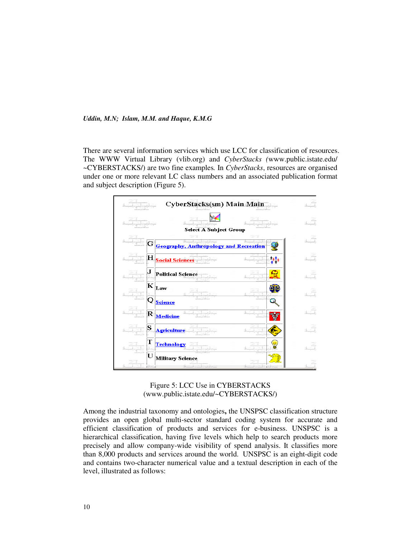There are several information services which use LCC for classification of resources. The WWW Virtual Library (vlib.org) and *CyberStacks (*www.public.istate.edu/ ~CYBERSTACKS/) are two fine examples*.* In *CyberStacks*, resources are organised under one or more relevant LC class numbers and an associated publication format and subject description (Figure 5).





Among the industrial taxonomy and ontologies**,** the UNSPSC classification structure provides an open global multi-sector standard coding system for accurate and efficient classification of products and services for e-business. UNSPSC is a hierarchical classification, having five levels which help to search products more precisely and allow company-wide visibility of spend analysis. It classifies more than 8,000 products and services around the world. UNSPSC is an eight-digit code and contains two-character numerical value and a textual description in each of the level, illustrated as follows: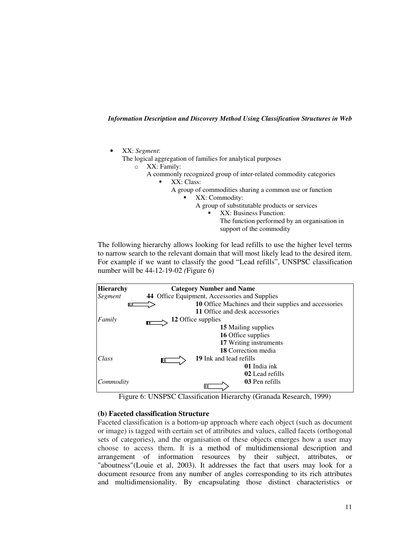• XX: *Segment*:

The logical aggregation of families for analytical purposes

- o XX: Family:
	- A commonly recognized group of inter-related commodity categories
		- XX: Class:
			- A group of commodities sharing a common use or function
				- XX: Commodity:
					- A group of substitutable products or services
						- XX: Business Function:
							- The function performed by an organisation in support of the commodity

The following hierarchy allows looking for lead refills to use the higher level terms to narrow search to the relevant domain that will most likely lead to the desired item. For example if we want to classify the good "Lead refills", UNSPSC classification number will be 44-12-19-02 *(*Figure 6)





## **(b) Faceted classification Structure**

Faceted classification is a bottom-up approach where each object (such as document or image) is tagged with certain set of attributes and values, called facets (orthogonal sets of categories), and the organisation of these objects emerges how a user may choose to access them. It is a method of multidimensional description and arrangement of information resources by their subject, attributes, or "aboutness"(Louie et al, 2003). It addresses the fact that users may look for a document resource from any number of angles corresponding to its rich attributes and multidimensionality. By encapsulating those distinct characteristics or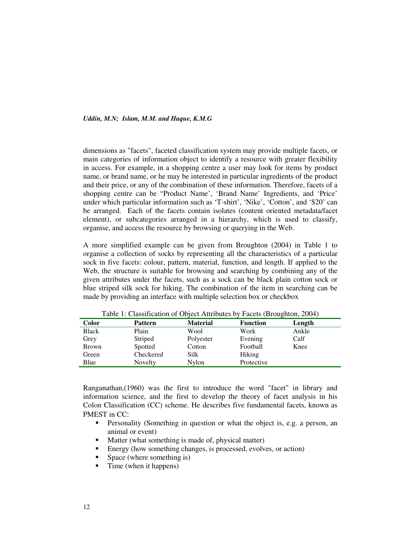dimensions as "facets", faceted classification system may provide multiple facets, or main categories of information object to identify a resource with greater flexibility in access. For example, in a shopping centre a user may look for items by product name, or brand name, or he may be interested in particular ingredients of the product and their price, or any of the combination of these information. Therefore, facets of a shopping centre can be "Product Name', 'Brand Name' Ingredients, and 'Price' under which particular information such as 'T-shirt', 'Nike', 'Cotton', and '\$20' can be arranged. Each of the facets contain isolates (content oriented metadata/facet element), or subcategories arranged in a hierarchy, which is used to classify, organise, and access the resource by browsing or querying in the Web.

A more simplified example can be given from Broughton (2004) in Table 1 to organise a collection of socks by representing all the characteristics of a particular sock in five facets: colour, pattern, material, function, and length. If applied to the Web, the structure is suitable for browsing and searching by combining any of the given attributes under the facets, such as a sock can be black plain cotton sock or blue striped silk sock for hiking. The combination of the item in searching can be made by providing an interface with multiple selection box or checkbox

| <b>Color</b> | <b>Pattern</b> | <b>Material</b> | <b>Function</b> | Length |
|--------------|----------------|-----------------|-----------------|--------|
| <b>Black</b> | Plain          | Wool            | Work            | Ankle  |
| Grey         | Striped        | Polyester       | Evening         | Calf   |
| <b>Brown</b> | Spotted        | Cotton          | Football        | Knee   |
| Green        | Checkered      | Silk            | <b>Hiking</b>   |        |
| Blue         | Novelty        | Nylon           | Protective      |        |

Table 1: Classification of Object Attributes by Facets (Broughton, 2004)

Ranganathan,(1960) was the first to introduce the word "facet" in library and information science, and the first to develop the theory of facet analysis in his Colon Classification (CC) scheme. He describes five fundamental facets, known as PMEST in CC:

- **Personality (Something in question or what the object is, e.g. a person, an** animal or event)
- Matter (what something is made of, physical matter)
- Energy (how something changes, is processed, evolves, or action)
- Space (where something is)
- $\blacksquare$  Time (when it happens)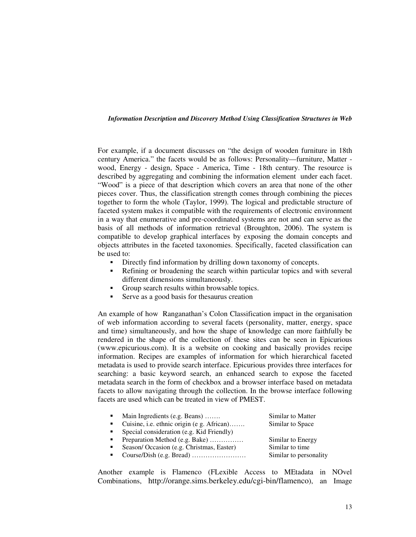For example, if a document discusses on "the design of wooden furniture in 18th century America." the facets would be as follows: Personality—furniture, Matter wood, Energy - design, Space - America, Time - 18th century. The resource is described by aggregating and combining the information element under each facet. "Wood" is a piece of that description which covers an area that none of the other pieces cover. Thus, the classification strength comes through combining the pieces together to form the whole (Taylor, 1999). The logical and predictable structure of faceted system makes it compatible with the requirements of electronic environment in a way that enumerative and pre-coordinated systems are not and can serve as the basis of all methods of information retrieval (Broughton, 2006). The system is compatible to develop graphical interfaces by exposing the domain concepts and objects attributes in the faceted taxonomies. Specifically, faceted classification can be used to:

- Directly find information by drilling down taxonomy of concepts.
- Refining or broadening the search within particular topics and with several different dimensions simultaneously.
- Group search results within browsable topics.
- Serve as a good basis for thesaurus creation

An example of how Ranganathan's Colon Classification impact in the organisation of web information according to several facets (personality, matter, energy, space and time) simultaneously, and how the shape of knowledge can more faithfully be rendered in the shape of the collection of these sites can be seen in Epicurious (www.epicurious.com). It is a website on cooking and basically provides recipe information. Recipes are examples of information for which hierarchical faceted metadata is used to provide search interface. Epicurious provides three interfaces for searching: a basic keyword search, an enhanced search to expose the faceted metadata search in the form of checkbox and a browser interface based on metadata facets to allow navigating through the collection. In the browse interface following facets are used which can be treated in view of PMEST.

| $\sim$         | Main Ingredients (e.g. Beans)              | Similar to Matter      |
|----------------|--------------------------------------------|------------------------|
| $\blacksquare$ | Cuisine, i.e. ethnic origin (e g. African) | Similar to Space       |
| $\mathbf{r}$   | Special consideration (e.g. Kid Friendly)  |                        |
| $\blacksquare$ | Preparation Method (e.g. Bake)             | Similar to Energy      |
| $\blacksquare$ | Season/Occasion (e.g. Christmas, Easter)   | Similar to time        |
|                |                                            | Similar to personality |
|                |                                            |                        |

Another example is Flamenco (FLexible Access to MEtadata in NOvel Combinations, http://orange.sims.berkeley.edu/cgi-bin/flamenco), an Image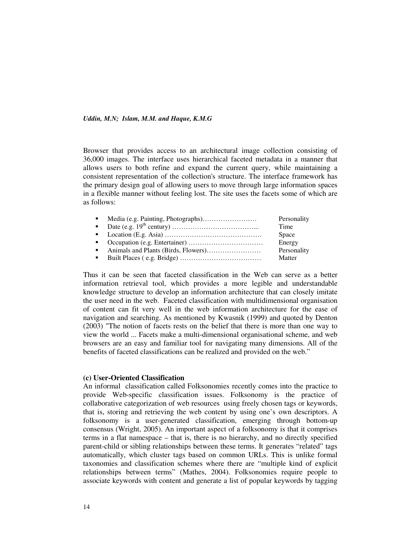Browser that provides access to an architectural image collection consisting of 36,000 images. The interface uses hierarchical faceted metadata in a manner that allows users to both refine and expand the current query, while maintaining a consistent representation of the collection's structure. The interface framework has the primary design goal of allowing users to move through large information spaces in a flexible manner without feeling lost. The site uses the facets some of which are as follows:

|  | Personality  |
|--|--------------|
|  | Time         |
|  | <b>Space</b> |
|  | Energy       |
|  | Personality  |
|  | Matter       |

Thus it can be seen that faceted classification in the Web can serve as a better information retrieval tool, which provides a more legible and understandable knowledge structure to develop an information architecture that can closely imitate the user need in the web. Faceted classification with multidimensional organisation of content can fit very well in the web information architecture for the ease of navigation and searching. As mentioned by Kwasnik (1999) and quoted by Denton (2003) "The notion of facets rests on the belief that there is more than one way to view the world ... Facets make a multi-dimensional organisational scheme, and web browsers are an easy and familiar tool for navigating many dimensions. All of the benefits of faceted classifications can be realized and provided on the web."

#### **(c) User-Oriented Classification**

An informal classification called Folksonomies recently comes into the practice to provide Web-specific classification issues. Folksonomy is the practice of collaborative categorization of web resources using freely chosen tags or keywords, that is, storing and retrieving the web content by using one's own descriptors. A folksonomy is a user-generated classification, emerging through bottom-up consensus (Wright, 2005). An important aspect of a folksonomy is that it comprises terms in a flat namespace – that is, there is no hierarchy, and no directly specified parent-child or sibling relationships between these terms. It generates "related" tags automatically, which cluster tags based on common URLs. This is unlike formal taxonomies and classification schemes where there are "multiple kind of explicit relationships between terms" (Mathes, 2004). Folksonomies require people to associate keywords with content and generate a list of popular keywords by tagging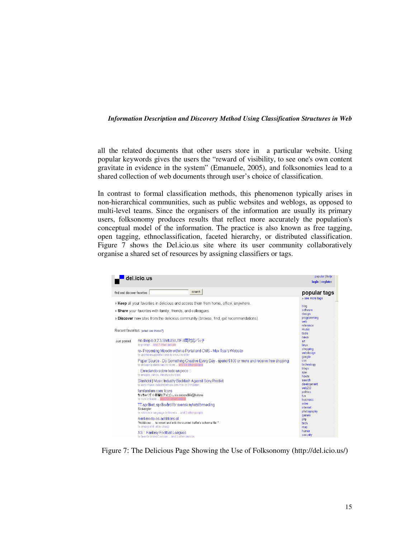all the related documents that other users store in a particular website. Using popular keywords gives the users the "reward of visibility, to see one's own content gravitate in evidence in the system" (Emanuele, 2005), and folksonomies lead to a shared collection of web documents through user's choice of classification.

In contrast to formal classification methods, this phenomenon typically arises in non-hierarchical communities, such as public websites and weblogs, as opposed to multi-level teams. Since the organisers of the information are usually its primary users, folksonomy produces results that reflect more accurately the population's conceptual model of the information. The practice is also known as free tagging, open tagging, ethnoclassification, faceted hierarchy, or distributed classification. Figure 7 shows the Del.icio.us site where its user community collaboratively organise a shared set of resources by assigning classifiers or tags.

|                                                                                        | del.icio.us                                                                                                                                             | popular   help<br>login   register    |
|----------------------------------------------------------------------------------------|---------------------------------------------------------------------------------------------------------------------------------------------------------|---------------------------------------|
| find and discover favorites                                                            | search                                                                                                                                                  | popular tags<br>» see more tags       |
|                                                                                        | » Keep all your favorites in delicious and access them from home, office, anywhere.                                                                     | blog                                  |
| » Share your favorites with family, friends, and colleagues.                           | software                                                                                                                                                |                                       |
| » Discover new sites from the delicious community (browse, find, get recommendations). | design<br>programming<br>weh<br>reference                                                                                                               |                                       |
| Recent favorites: (what are these?)                                                    |                                                                                                                                                         | music<br>tools                        |
| Just posted                                                                            | mt-daapd-0.2.3 ShiftJIS/UTF-8両対応バッチ<br>by prompt and 7 other people                                                                                     | news<br>art<br>linux                  |
|                                                                                        | re- Presenting Moodle within a Portal and CMS - Max Tsai's Website<br>to uportal esupportail cms to.cri.n2 by ziller                                    | shopping<br>webdesign<br>google       |
|                                                                                        | Paper Source - Do Something Creative Every Day - spend \$100 or more and receive free shipping<br>to shopping stationary by libjen  and 59 other people | css.<br>technology                    |
|                                                                                        | :: Enredando sobre todo un poco ::<br>to amigos, varios, literatura by tripix                                                                           | blogs<br>ajax<br>howto                |
|                                                                                        | Slashdot   Music Industry Backlash Against Sony Rootkit<br>to sony music industry ethics drm mm by ihmostyn                                             | search<br>development                 |
|                                                                                        | famfamfam.com: Icons<br>ちっちゃくて小奇麗なアイコン。via secondlife@hatena<br>to icon by babie  and 721 other people                                                  | web2.0<br>politics<br>fun<br>husiness |
|                                                                                        | TT-språket, språkvård för svensk nyhetsförmedling<br>Skrivregler<br>to reference language by blenda  and 2 other people                                 | video<br>internet<br>photography      |
|                                                                                        | nxml-mode-os-additions el<br>"Additions  to revert and edit the current buffer's schema file."<br>to emacs xml .el by straup                            | games<br>php<br>tech<br>mac           |
|                                                                                        | XS: Fantasy Football Leagues<br>to favorite by redCashion  and 1 other person                                                                           | humor<br>security                     |

Figure 7: The Delicious Page Showing the Use of Folksonomy (http://del.icio.us/)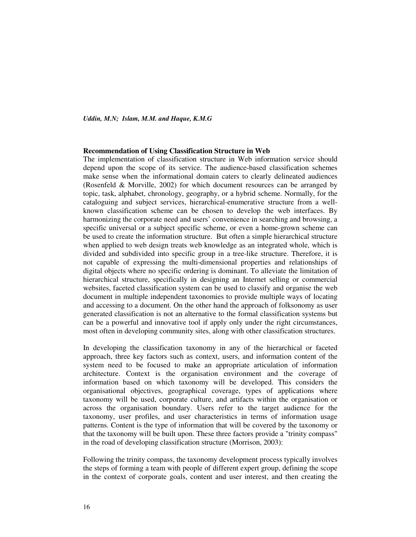#### **Recommendation of Using Classification Structure in Web**

The implementation of classification structure in Web information service should depend upon the scope of its service. The audience-based classification schemes make sense when the informational domain caters to clearly delineated audiences (Rosenfeld & Morville, 2002) for which document resources can be arranged by topic, task, alphabet, chronology, geography, or a hybrid scheme. Normally, for the cataloguing and subject services, hierarchical-enumerative structure from a wellknown classification scheme can be chosen to develop the web interfaces. By harmonizing the corporate need and users' convenience in searching and browsing, a specific universal or a subject specific scheme, or even a home-grown scheme can be used to create the information structure. But often a simple hierarchical structure when applied to web design treats web knowledge as an integrated whole, which is divided and subdivided into specific group in a tree-like structure. Therefore, it is not capable of expressing the multi-dimensional properties and relationships of digital objects where no specific ordering is dominant. To alleviate the limitation of hierarchical structure, specifically in designing an Internet selling or commercial websites, faceted classification system can be used to classify and organise the web document in multiple independent taxonomies to provide multiple ways of locating and accessing to a document. On the other hand the approach of folksonomy as user generated classification is not an alternative to the formal classification systems but can be a powerful and innovative tool if apply only under the right circumstances, most often in developing community sites, along with other classification structures.

In developing the classification taxonomy in any of the hierarchical or faceted approach, three key factors such as context, users, and information content of the system need to be focused to make an appropriate articulation of information architecture. Context is the organisation environment and the coverage of information based on which taxonomy will be developed. This considers the organisational objectives, geographical coverage, types of applications where taxonomy will be used, corporate culture, and artifacts within the organisation or across the organisation boundary. Users refer to the target audience for the taxonomy, user profiles, and user characteristics in terms of information usage patterns. Content is the type of information that will be covered by the taxonomy or that the taxonomy will be built upon. These three factors provide a "trinity compass" in the road of developing classification structure (Morrison, 2003):

Following the trinity compass, the taxonomy development process typically involves the steps of forming a team with people of different expert group, defining the scope in the context of corporate goals, content and user interest, and then creating the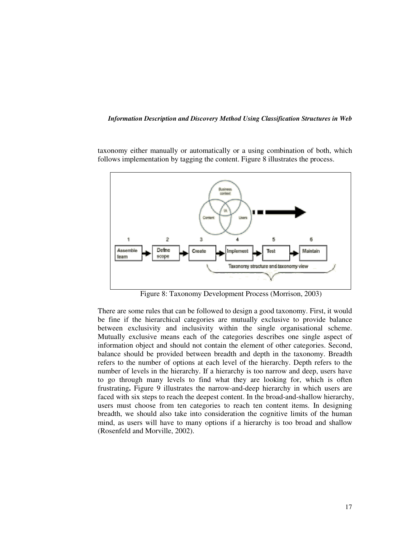taxonomy either manually or automatically or a using combination of both, which follows implementation by tagging the content. Figure 8 illustrates the process.



Figure 8: Taxonomy Development Process (Morrison, 2003)

There are some rules that can be followed to design a good taxonomy. First, it would be fine if the hierarchical categories are mutually exclusive to provide balance between exclusivity and inclusivity within the single organisational scheme. Mutually exclusive means each of the categories describes one single aspect of information object and should not contain the element of other categories. Second, balance should be provided between breadth and depth in the taxonomy. Breadth refers to the number of options at each level of the hierarchy. Depth refers to the number of levels in the hierarchy. If a hierarchy is too narrow and deep, users have to go through many levels to find what they are looking for, which is often frustrating**.** Figure 9 illustrates the narrow-and-deep hierarchy in which users are faced with six steps to reach the deepest content. In the broad-and-shallow hierarchy, users must choose from ten categories to reach ten content items. In designing breadth, we should also take into consideration the cognitive limits of the human mind, as users will have to many options if a hierarchy is too broad and shallow (Rosenfeld and Morville, 2002).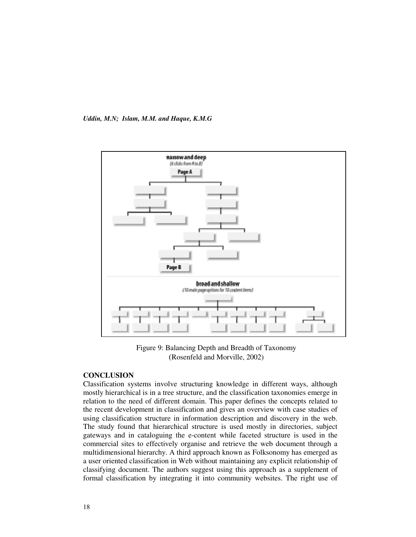

Figure 9: Balancing Depth and Breadth of Taxonomy (Rosenfeld and Morville, 2002)

# **CONCLUSION**

Classification systems involve structuring knowledge in different ways, although mostly hierarchical is in a tree structure, and the classification taxonomies emerge in relation to the need of different domain. This paper defines the concepts related to the recent development in classification and gives an overview with case studies of using classification structure in information description and discovery in the web. The study found that hierarchical structure is used mostly in directories, subject gateways and in cataloguing the e-content while faceted structure is used in the commercial sites to effectively organise and retrieve the web document through a multidimensional hierarchy. A third approach known as Folksonomy has emerged as a user oriented classification in Web without maintaining any explicit relationship of classifying document. The authors suggest using this approach as a supplement of formal classification by integrating it into community websites. The right use of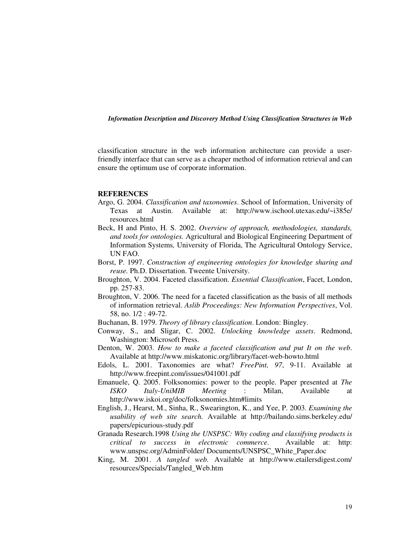classification structure in the web information architecture can provide a userfriendly interface that can serve as a cheaper method of information retrieval and can ensure the optimum use of corporate information.

#### **REFERENCES**

- Argo, G. 2004. *Classification and taxonomies*. School of Information, University of Texas at Austin. Available at: http://www.ischool.utexas.edu/~i385e/ resources.html
- Beck, H and Pinto, H. S. 2002. *Overview of approach, methodologies, standards, and tools for ontologies.* Agricultural and Biological Engineering Department of Information Systems*,* University of Florida, The Agricultural Ontology Service, UN FAO.
- Borst, P. 1997. *Construction of engineering ontologies for knowledge sharing and reuse.* Ph.D. Dissertation. Tweente University.
- Broughton, V. 2004. Faceted classification. *Essential Classification*, Facet, London, pp. 257-83.
- Broughton, V. 2006. The need for a faceted classification as the basis of all methods of information retrieval. *Aslib Proceedings: New Information Perspectives*, Vol. 58, no. 1/2 : 49-72.
- Buchanan, B. 1979. *Theory of library classification*. London: Bingley.
- Conway, S., and Sligar, C. 2002. *Unlocking knowledge assets*. Redmond, Washington: Microsoft Press.
- Denton, W. 2003. *How to make a faceted classification and put It on the web*. Available at http://www.miskatonic.org/library/facet-web-howto.html
- Edols, L. 2001. Taxonomies are what? *FreePint, 97*, 9-11. Available at http://www.freepint.com/issues/041001.pdf
- Emanuele, Q. 2005. Folksonomies: power to the people. Paper presented at *The ISKO Italy-UniMIB Meeting* : Milan, Available at http://www.iskoi.org/doc/folksonomies.htm#limits
- English, J., Hearst, M., Sinha, R., Swearington, K., and Yee, P. 2003. *Examining the usability of web site search.* Available at http://bailando.sims.berkeley.edu/ papers/epicurious-study.pdf
- Granada Research.1998 *Using the UNSPSC: Why coding and classifying products is critical to success in electronic commerce*. Available at: http: www.unspsc.org/AdminFolder/ Documents/UNSPSC\_White\_Paper.doc
- King, M. 2001. *A tangled web.* Available at http://www.etailersdigest.com/ resources/Specials/Tangled\_Web.htm